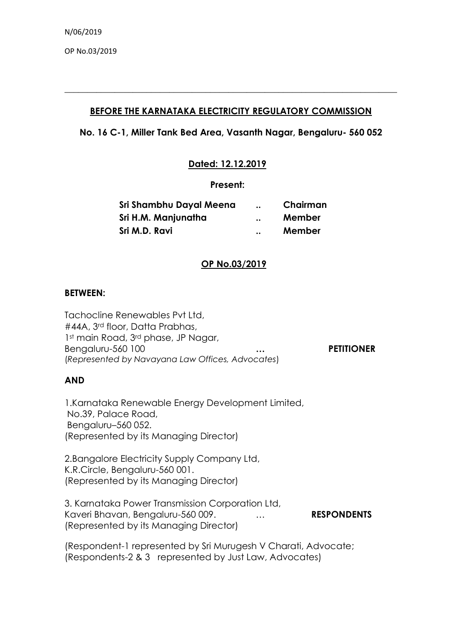OP No.03/2019

## **BEFORE THE KARNATAKA ELECTRICITY REGULATORY COMMISSION**

**\_\_\_\_\_\_\_\_\_\_\_\_\_\_\_\_\_\_\_\_\_\_\_\_\_\_\_\_\_\_\_\_\_\_\_\_\_\_\_\_\_\_\_\_\_\_\_\_\_\_\_\_\_\_\_\_\_\_\_\_\_\_\_\_\_\_\_\_\_\_\_\_\_**

# **No. 16 C-1, Miller Tank Bed Area, Vasanth Nagar, Bengaluru- 560 052**

## **Dated: 12.12.2019**

### **Present:**

| Sri Shambhu Dayal Meena | $\ddot{\phantom{0}}\phantom{0}\bullet\dot{\phantom{0}}\bullet$ | Chairman |
|-------------------------|----------------------------------------------------------------|----------|
| Sri H.M. Manjunatha     | $\ddot{\phantom{0}}$                                           | Member   |
| Sri M.D. Ravi           | $\ddot{\phantom{0}}$                                           | Member   |

## **OP No.03/2019**

### **BETWEEN:**

Tachocline Renewables Pvt Ltd, #44A, 3rd floor, Datta Prabhas, 1st main Road, 3<sup>rd</sup> phase, JP Nagar, Bengaluru-560 100 **… PETITIONER** (*Represented by Navayana Law Offices, Advocates*)

## **AND**

1.Karnataka Renewable Energy Development Limited, No.39, Palace Road, Bengaluru–560 052. (Represented by its Managing Director)

2.Bangalore Electricity Supply Company Ltd, K.R.Circle, Bengaluru-560 001. (Represented by its Managing Director)

# 3. Karnataka Power Transmission Corporation Ltd, Kaveri Bhavan, Bengaluru-560 009. **... ... RESPONDENTS** (Represented by its Managing Director)

(Respondent-1 represented by Sri Murugesh V Charati, Advocate; (Respondents-2 & 3 represented by Just Law, Advocates)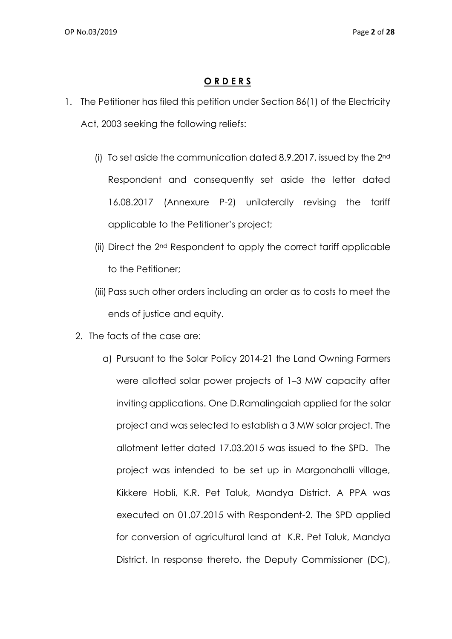# **O R D E R S**

- 1. The Petitioner has filed this petition under Section 86(1) of the Electricity Act, 2003 seeking the following reliefs:
	- (i) To set aside the communication dated 8.9.2017, issued by the 2nd Respondent and consequently set aside the letter dated 16.08.2017 (Annexure P-2) unilaterally revising the tariff applicable to the Petitioner's project;
	- (ii) Direct the 2nd Respondent to apply the correct tariff applicable to the Petitioner;
	- (iii) Pass such other orders including an order as to costs to meet the ends of justice and equity.
	- 2. The facts of the case are:
		- a) Pursuant to the Solar Policy 2014-21 the Land Owning Farmers were allotted solar power projects of 1–3 MW capacity after inviting applications. One D.Ramalingaiah applied for the solar project and was selected to establish a 3 MW solar project. The allotment letter dated 17.03.2015 was issued to the SPD. The project was intended to be set up in Margonahalli village, Kikkere Hobli, K.R. Pet Taluk, Mandya District. A PPA was executed on 01.07.2015 with Respondent-2. The SPD applied for conversion of agricultural land at K.R. Pet Taluk, Mandya District. In response thereto, the Deputy Commissioner (DC),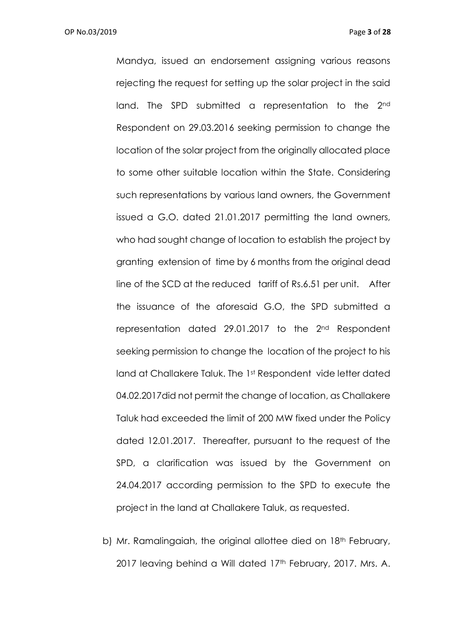Mandya, issued an endorsement assigning various reasons rejecting the request for setting up the solar project in the said land. The SPD submitted a representation to the 2<sup>nd</sup> Respondent on 29.03.2016 seeking permission to change the location of the solar project from the originally allocated place to some other suitable location within the State. Considering such representations by various land owners, the Government issued a G.O. dated 21.01.2017 permitting the land owners, who had sought change of location to establish the project by granting extension of time by 6 months from the original dead line of the SCD at the reduced tariff of Rs.6.51 per unit. After the issuance of the aforesaid G.O, the SPD submitted a representation dated 29.01.2017 to the 2nd Respondent seeking permission to change the location of the project to his land at Challakere Taluk. The 1st Respondent vide letter dated 04.02.2017did not permit the change of location, as Challakere Taluk had exceeded the limit of 200 MW fixed under the Policy dated 12.01.2017. Thereafter, pursuant to the request of the SPD, a clarification was issued by the Government on 24.04.2017 according permission to the SPD to execute the project in the land at Challakere Taluk, as requested.

b) Mr. Ramalingaiah, the original allottee died on 18<sup>th</sup> February, 2017 leaving behind a Will dated 17<sup>th</sup> February, 2017. Mrs. A.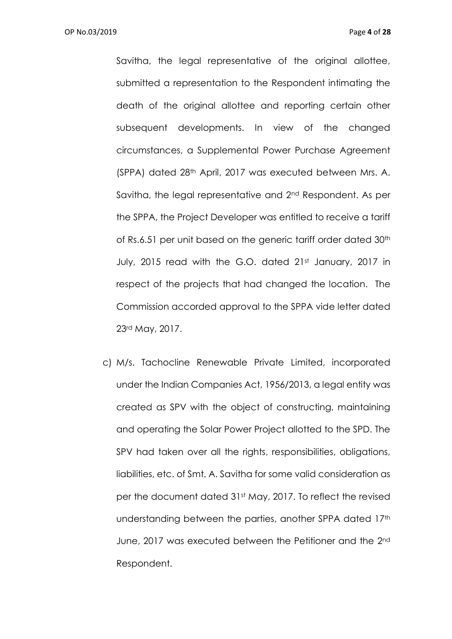Savitha, the legal representative of the original allottee, submitted a representation to the Respondent intimating the death of the original allottee and reporting certain other subsequent developments. In view of the changed circumstances, a Supplemental Power Purchase Agreement (SPPA) dated 28th April, 2017 was executed between Mrs. A. Savitha, the legal representative and 2nd Respondent. As per the SPPA, the Project Developer was entitled to receive a tariff of Rs.6.51 per unit based on the generic tariff order dated 30<sup>th</sup> July, 2015 read with the G.O. dated 21st January, 2017 in respect of the projects that had changed the location. The Commission accorded approval to the SPPA vide letter dated 23rd May, 2017.

c) M/s. Tachocline Renewable Private Limited, incorporated under the Indian Companies Act, 1956/2013, a legal entity was created as SPV with the object of constructing, maintaining and operating the Solar Power Project allotted to the SPD. The SPV had taken over all the rights, responsibilities, obligations, liabilities, etc. of Smt. A. Savitha for some valid consideration as per the document dated 31<sup>st</sup> May, 2017. To reflect the revised understanding between the parties, another SPPA dated 17th June, 2017 was executed between the Petitioner and the 2nd Respondent.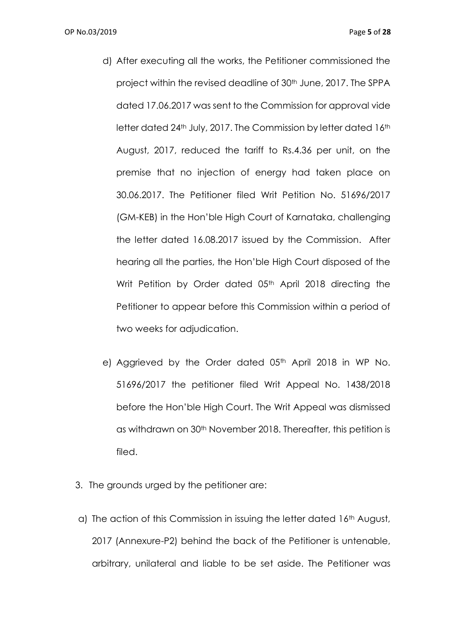- d) After executing all the works, the Petitioner commissioned the project within the revised deadline of 30<sup>th</sup> June, 2017. The SPPA dated 17.06.2017 was sent to the Commission for approval vide letter dated 24<sup>th</sup> July, 2017. The Commission by letter dated 16<sup>th</sup> August, 2017, reduced the tariff to Rs.4.36 per unit, on the premise that no injection of energy had taken place on 30.06.2017. The Petitioner filed Writ Petition No. 51696/2017 (GM-KEB) in the Hon'ble High Court of Karnataka, challenging the letter dated 16.08.2017 issued by the Commission. After hearing all the parties, the Hon'ble High Court disposed of the Writ Petition by Order dated 05<sup>th</sup> April 2018 directing the Petitioner to appear before this Commission within a period of two weeks for adjudication.
- e) Aggrieved by the Order dated 05<sup>th</sup> April 2018 in WP No. 51696/2017 the petitioner filed Writ Appeal No. 1438/2018 before the Hon'ble High Court. The Writ Appeal was dismissed as withdrawn on 30th November 2018. Thereafter, this petition is filed.
- 3. The grounds urged by the petitioner are:
- a) The action of this Commission in issuing the letter dated 16<sup>th</sup> August, 2017 (Annexure-P2) behind the back of the Petitioner is untenable, arbitrary, unilateral and liable to be set aside. The Petitioner was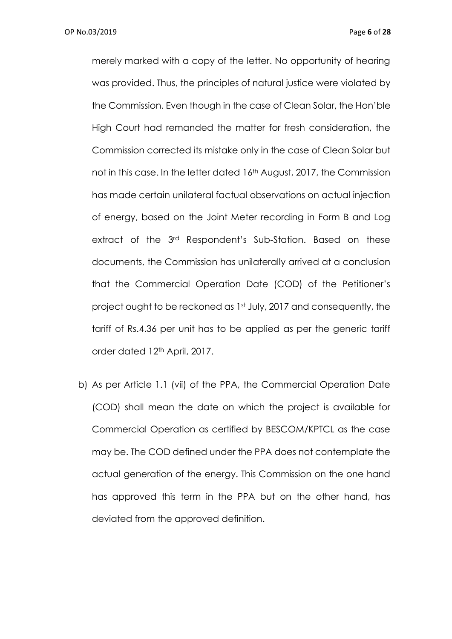merely marked with a copy of the letter. No opportunity of hearing was provided. Thus, the principles of natural justice were violated by the Commission. Even though in the case of Clean Solar, the Hon'ble High Court had remanded the matter for fresh consideration, the Commission corrected its mistake only in the case of Clean Solar but not in this case. In the letter dated 16<sup>th</sup> August, 2017, the Commission has made certain unilateral factual observations on actual injection of energy, based on the Joint Meter recording in Form B and Log extract of the 3rd Respondent's Sub-Station. Based on these documents, the Commission has unilaterally arrived at a conclusion that the Commercial Operation Date (COD) of the Petitioner's project ought to be reckoned as 1st July, 2017 and consequently, the tariff of Rs.4.36 per unit has to be applied as per the generic tariff order dated 12th April, 2017.

b) As per Article 1.1 (vii) of the PPA, the Commercial Operation Date (COD) shall mean the date on which the project is available for Commercial Operation as certified by BESCOM/KPTCL as the case may be. The COD defined under the PPA does not contemplate the actual generation of the energy. This Commission on the one hand has approved this term in the PPA but on the other hand, has deviated from the approved definition.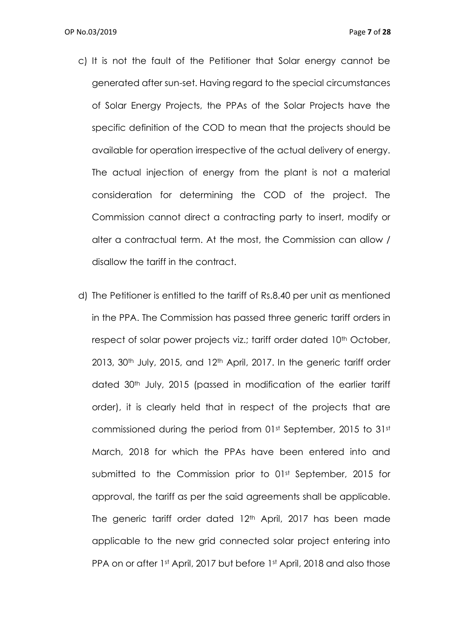- c) It is not the fault of the Petitioner that Solar energy cannot be generated after sun-set. Having regard to the special circumstances of Solar Energy Projects, the PPAs of the Solar Projects have the specific definition of the COD to mean that the projects should be available for operation irrespective of the actual delivery of energy. The actual injection of energy from the plant is not a material consideration for determining the COD of the project. The Commission cannot direct a contracting party to insert, modify or alter a contractual term. At the most, the Commission can allow / disallow the tariff in the contract.
- d) The Petitioner is entitled to the tariff of Rs.8.40 per unit as mentioned in the PPA. The Commission has passed three generic tariff orders in respect of solar power projects viz.; tariff order dated 10<sup>th</sup> October, 2013, 30<sup>th</sup> July, 2015, and 12<sup>th</sup> April, 2017. In the generic tariff order dated 30th July, 2015 (passed in modification of the earlier tariff order), it is clearly held that in respect of the projects that are commissioned during the period from 01st September, 2015 to 31st March, 2018 for which the PPAs have been entered into and submitted to the Commission prior to 01st September, 2015 for approval, the tariff as per the said agreements shall be applicable. The generic tariff order dated 12<sup>th</sup> April, 2017 has been made applicable to the new grid connected solar project entering into PPA on or after 1st April, 2017 but before 1st April, 2018 and also those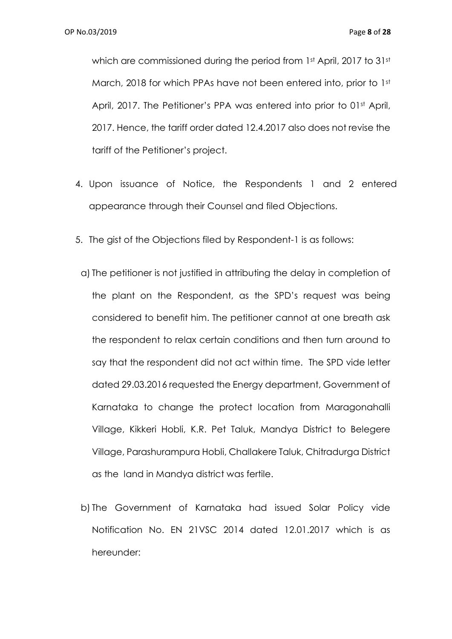which are commissioned during the period from 1st April, 2017 to 31st March, 2018 for which PPAs have not been entered into, prior to 1st April, 2017. The Petitioner's PPA was entered into prior to 01st April, 2017. Hence, the tariff order dated 12.4.2017 also does not revise the tariff of the Petitioner's project.

- 4. Upon issuance of Notice, the Respondents 1 and 2 entered appearance through their Counsel and filed Objections.
- 5. The gist of the Objections filed by Respondent-1 is as follows:
- a) The petitioner is not justified in attributing the delay in completion of the plant on the Respondent, as the SPD's request was being considered to benefit him. The petitioner cannot at one breath ask the respondent to relax certain conditions and then turn around to say that the respondent did not act within time. The SPD vide letter dated 29.03.2016 requested the Energy department, Government of Karnataka to change the protect location from Maragonahalli Village, Kikkeri Hobli, K.R. Pet Taluk, Mandya District to Belegere Village, Parashurampura Hobli, Challakere Taluk, Chitradurga District as the land in Mandya district was fertile.
- b) The Government of Karnataka had issued Solar Policy vide Notification No. EN 21VSC 2014 dated 12.01.2017 which is as hereunder: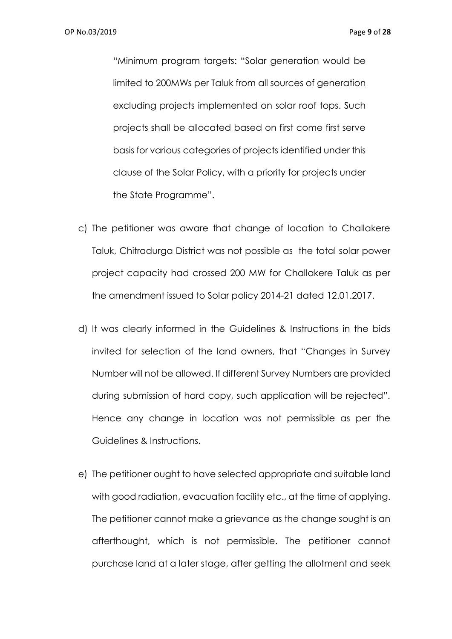"Minimum program targets: "Solar generation would be limited to 200MWs per Taluk from all sources of generation excluding projects implemented on solar roof tops. Such projects shall be allocated based on first come first serve basis for various categories of projects identified under this clause of the Solar Policy, with a priority for projects under the State Programme".

- c) The petitioner was aware that change of location to Challakere Taluk, Chitradurga District was not possible as the total solar power project capacity had crossed 200 MW for Challakere Taluk as per the amendment issued to Solar policy 2014-21 dated 12.01.2017.
- d) It was clearly informed in the Guidelines & Instructions in the bids invited for selection of the land owners, that "Changes in Survey Number will not be allowed. If different Survey Numbers are provided during submission of hard copy, such application will be rejected". Hence any change in location was not permissible as per the Guidelines & Instructions.
- e) The petitioner ought to have selected appropriate and suitable land with good radiation, evacuation facility etc., at the time of applying. The petitioner cannot make a grievance as the change sought is an afterthought, which is not permissible. The petitioner cannot purchase land at a later stage, after getting the allotment and seek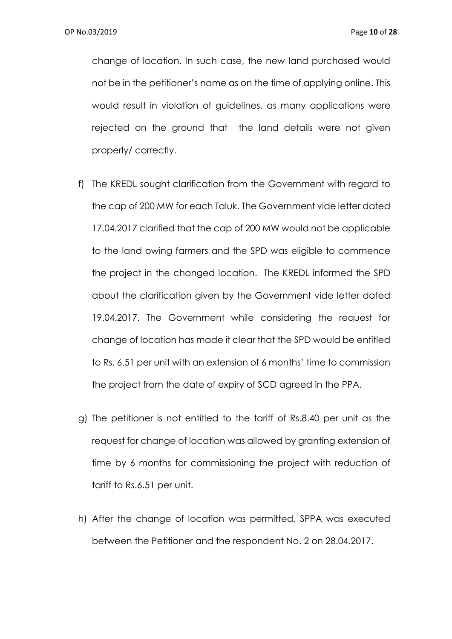change of location. In such case, the new land purchased would not be in the petitioner's name as on the time of applying online. This would result in violation of guidelines, as many applications were rejected on the ground that the land details were not given properly/ correctly.

- f) The KREDL sought clarification from the Government with regard to the cap of 200 MW for each Taluk. The Government vide letter dated 17.04.2017 clarified that the cap of 200 MW would not be applicable to the land owing farmers and the SPD was eligible to commence the project in the changed location. The KREDL informed the SPD about the clarification given by the Government vide letter dated 19.04.2017. The Government while considering the request for change of location has made it clear that the SPD would be entitled to Rs. 6.51 per unit with an extension of 6 months' time to commission the project from the date of expiry of SCD agreed in the PPA.
- g) The petitioner is not entitled to the tariff of Rs.8.40 per unit as the request for change of location was allowed by granting extension of time by 6 months for commissioning the project with reduction of tariff to Rs.6.51 per unit.
- h) After the change of location was permitted, SPPA was executed between the Petitioner and the respondent No. 2 on 28.04.2017.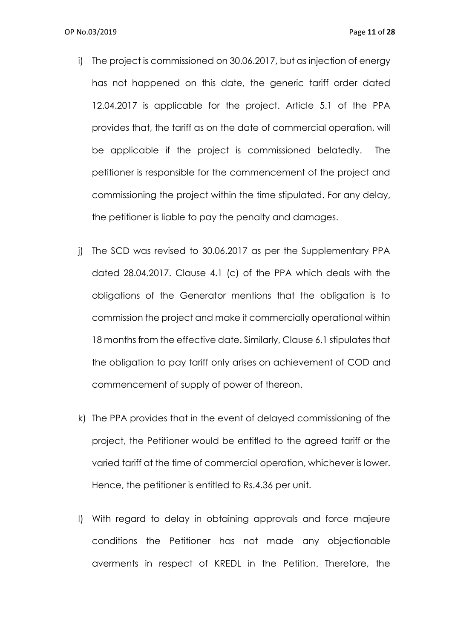- i) The project is commissioned on 30.06.2017, but as injection of energy has not happened on this date, the generic tariff order dated 12.04.2017 is applicable for the project. Article 5.1 of the PPA provides that, the tariff as on the date of commercial operation, will be applicable if the project is commissioned belatedly. The petitioner is responsible for the commencement of the project and commissioning the project within the time stipulated. For any delay, the petitioner is liable to pay the penalty and damages.
- j) The SCD was revised to 30.06.2017 as per the Supplementary PPA dated 28.04.2017. Clause 4.1 (c) of the PPA which deals with the obligations of the Generator mentions that the obligation is to commission the project and make it commercially operational within 18 months from the effective date. Similarly, Clause 6.1 stipulates that the obligation to pay tariff only arises on achievement of COD and commencement of supply of power of thereon.
- k) The PPA provides that in the event of delayed commissioning of the project, the Petitioner would be entitled to the agreed tariff or the varied tariff at the time of commercial operation, whichever is lower. Hence, the petitioner is entitled to Rs.4.36 per unit.
- l) With regard to delay in obtaining approvals and force majeure conditions the Petitioner has not made any objectionable averments in respect of KREDL in the Petition. Therefore, the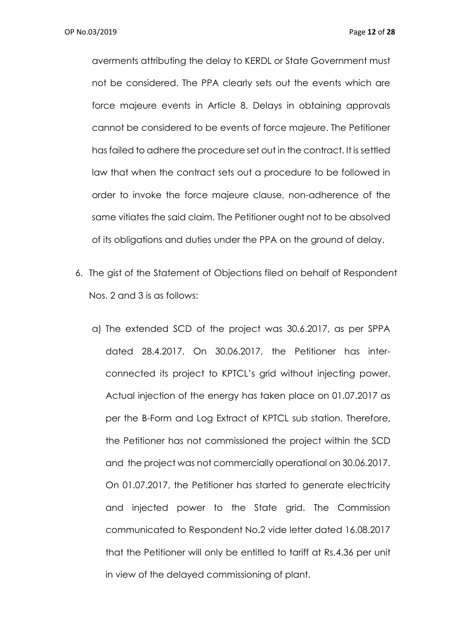averments attributing the delay to KERDL or State Government must not be considered. The PPA clearly sets out the events which are force majeure events in Article 8. Delays in obtaining approvals cannot be considered to be events of force majeure. The Petitioner has failed to adhere the procedure set out in the contract. It is settled law that when the contract sets out a procedure to be followed in order to invoke the force majeure clause, non-adherence of the same vitiates the said claim. The Petitioner ought not to be absolved of its obligations and duties under the PPA on the ground of delay.

- 6. The gist of the Statement of Objections filed on behalf of Respondent Nos. 2 and 3 is as follows:
	- a) The extended SCD of the project was 30.6.2017, as per SPPA dated 28.4.2017. On 30.06.2017, the Petitioner has interconnected its project to KPTCL's grid without injecting power. Actual injection of the energy has taken place on 01.07.2017 as per the B-Form and Log Extract of KPTCL sub station. Therefore, the Petitioner has not commissioned the project within the SCD and the project was not commercially operational on 30.06.2017. On 01.07.2017, the Petitioner has started to generate electricity and injected power to the State grid. The Commission communicated to Respondent No.2 vide letter dated 16.08.2017 that the Petitioner will only be entitled to tariff at Rs.4.36 per unit in view of the delayed commissioning of plant.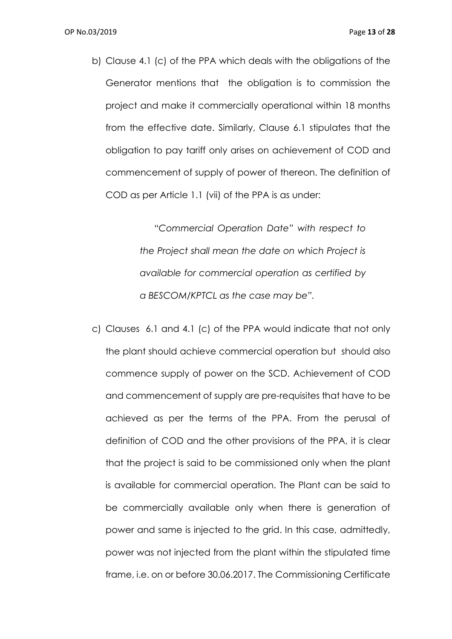b) Clause 4.1 (c) of the PPA which deals with the obligations of the Generator mentions that the obligation is to commission the project and make it commercially operational within 18 months from the effective date. Similarly, Clause 6.1 stipulates that the obligation to pay tariff only arises on achievement of COD and commencement of supply of power of thereon. The definition of COD as per Article 1.1 (vii) of the PPA is as under:

> "*Commercial Operation Date" with respect to the Project shall mean the date on which Project is available for commercial operation as certified by a BESCOM/KPTCL as the case may be".*

c) Clauses 6.1 and 4.1 (c) of the PPA would indicate that not only the plant should achieve commercial operation but should also commence supply of power on the SCD. Achievement of COD and commencement of supply are pre-requisites that have to be achieved as per the terms of the PPA. From the perusal of definition of COD and the other provisions of the PPA, it is clear that the project is said to be commissioned only when the plant is available for commercial operation. The Plant can be said to be commercially available only when there is generation of power and same is injected to the grid. In this case, admittedly, power was not injected from the plant within the stipulated time frame, i.e. on or before 30.06.2017. The Commissioning Certificate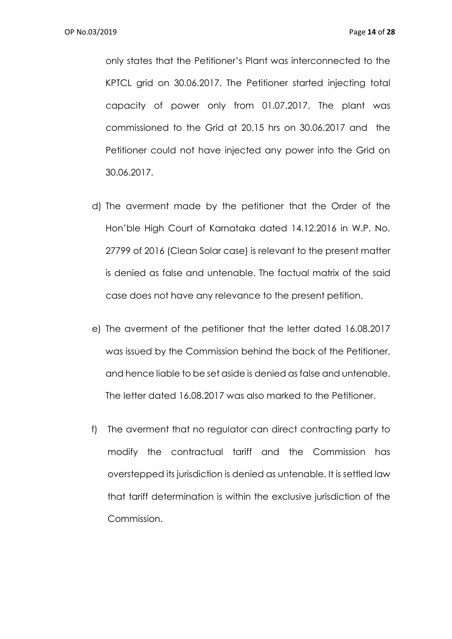only states that the Petitioner's Plant was interconnected to the KPTCL grid on 30.06.2017. The Petitioner started injecting total capacity of power only from 01.07.2017. The plant was commissioned to the Grid at 20.15 hrs on 30.06.2017 and the Petitioner could not have injected any power into the Grid on 30.06.2017.

- d) The averment made by the petitioner that the Order of the Hon'ble High Court of Karnataka dated 14.12.2016 in W.P. No. 27799 of 2016 (Clean Solar case) is relevant to the present matter is denied as false and untenable. The factual matrix of the said case does not have any relevance to the present petition.
- e) The averment of the petitioner that the letter dated 16.08.2017 was issued by the Commission behind the back of the Petitioner, and hence liable to be set aside is denied as false and untenable. The letter dated 16.08.2017 was also marked to the Petitioner.
- f) The averment that no regulator can direct contracting party to modify the contractual tariff and the Commission has overstepped its jurisdiction is denied as untenable. It is settled law that tariff determination is within the exclusive jurisdiction of the Commission.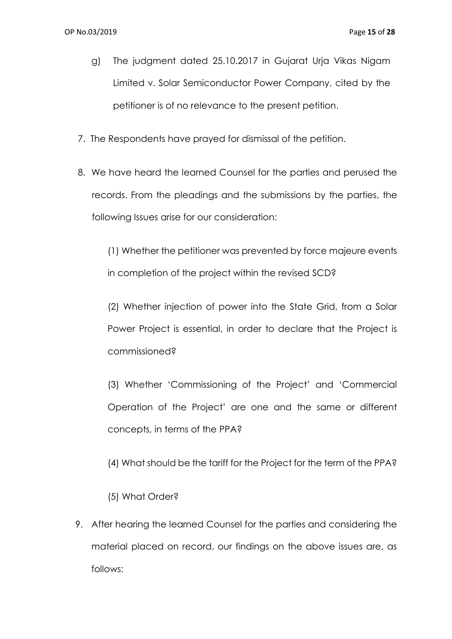- g) The judgment dated 25.10.2017 in Gujarat Urja Vikas Nigam Limited v. Solar Semiconductor Power Company, cited by the petitioner is of no relevance to the present petition.
- 7. The Respondents have prayed for dismissal of the petition.
- 8. We have heard the learned Counsel for the parties and perused the records. From the pleadings and the submissions by the parties, the following Issues arise for our consideration:

(1) Whether the petitioner was prevented by force majeure events in completion of the project within the revised SCD?

(2) Whether injection of power into the State Grid, from a Solar Power Project is essential, in order to declare that the Project is commissioned?

(3) Whether 'Commissioning of the Project' and 'Commercial Operation of the Project' are one and the same or different concepts, in terms of the PPA?

- (4) What should be the tariff for the Project for the term of the PPA?
- (5) What Order?
- 9. After hearing the learned Counsel for the parties and considering the material placed on record, our findings on the above issues are, as follows: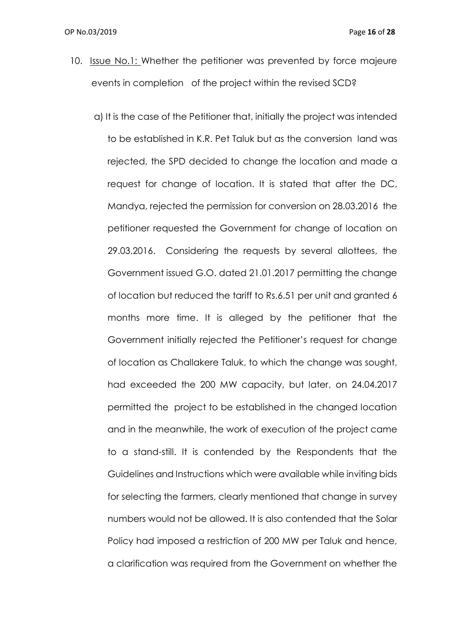- 10. Issue No.1: Whether the petitioner was prevented by force majeure events in completion of the project within the revised SCD?
	- a) It is the case of the Petitioner that, initially the project was intended to be established in K.R. Pet Taluk but as the conversion land was rejected, the SPD decided to change the location and made a request for change of location. It is stated that after the DC, Mandya, rejected the permission for conversion on 28.03.2016 the petitioner requested the Government for change of location on 29.03.2016. Considering the requests by several allottees, the Government issued G.O. dated 21.01.2017 permitting the change of location but reduced the tariff to Rs.6.51 per unit and granted 6 months more time. It is alleged by the petitioner that the Government initially rejected the Petitioner's request for change of location as Challakere Taluk, to which the change was sought, had exceeded the 200 MW capacity, but later, on 24.04.2017 permitted the project to be established in the changed location and in the meanwhile, the work of execution of the project came to a stand-still. It is contended by the Respondents that the Guidelines and Instructions which were available while inviting bids for selecting the farmers, clearly mentioned that change in survey numbers would not be allowed. It is also contended that the Solar Policy had imposed a restriction of 200 MW per Taluk and hence, a clarification was required from the Government on whether the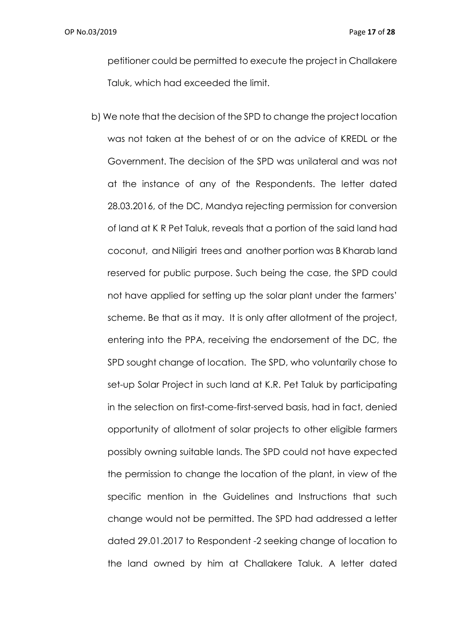OP No.03/2019 Page **17** of **28**

petitioner could be permitted to execute the project in Challakere Taluk, which had exceeded the limit.

b) We note that the decision of the SPD to change the project location was not taken at the behest of or on the advice of KREDL or the Government. The decision of the SPD was unilateral and was not at the instance of any of the Respondents. The letter dated 28.03.2016, of the DC, Mandya rejecting permission for conversion of land at K R Pet Taluk, reveals that a portion of the said land had coconut, and Niligiri trees and another portion was B Kharab land reserved for public purpose. Such being the case, the SPD could not have applied for setting up the solar plant under the farmers' scheme. Be that as it may. It is only after allotment of the project, entering into the PPA, receiving the endorsement of the DC, the SPD sought change of location. The SPD, who voluntarily chose to set-up Solar Project in such land at K.R. Pet Taluk by participating in the selection on first-come-first-served basis, had in fact, denied opportunity of allotment of solar projects to other eligible farmers possibly owning suitable lands. The SPD could not have expected the permission to change the location of the plant, in view of the specific mention in the Guidelines and Instructions that such change would not be permitted. The SPD had addressed a letter dated 29.01.2017 to Respondent -2 seeking change of location to the land owned by him at Challakere Taluk. A letter dated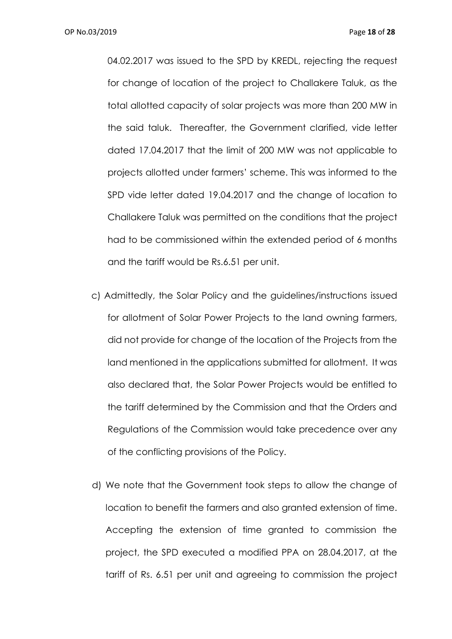04.02.2017 was issued to the SPD by KREDL, rejecting the request for change of location of the project to Challakere Taluk, as the total allotted capacity of solar projects was more than 200 MW in the said taluk. Thereafter, the Government clarified, vide letter dated 17.04.2017 that the limit of 200 MW was not applicable to projects allotted under farmers' scheme. This was informed to the SPD vide letter dated 19.04.2017 and the change of location to Challakere Taluk was permitted on the conditions that the project had to be commissioned within the extended period of 6 months and the tariff would be Rs.6.51 per unit.

- c) Admittedly, the Solar Policy and the guidelines/instructions issued for allotment of Solar Power Projects to the land owning farmers, did not provide for change of the location of the Projects from the land mentioned in the applications submitted for allotment. It was also declared that, the Solar Power Projects would be entitled to the tariff determined by the Commission and that the Orders and Regulations of the Commission would take precedence over any of the conflicting provisions of the Policy.
- d) We note that the Government took steps to allow the change of location to benefit the farmers and also granted extension of time. Accepting the extension of time granted to commission the project, the SPD executed a modified PPA on 28.04.2017, at the tariff of Rs. 6.51 per unit and agreeing to commission the project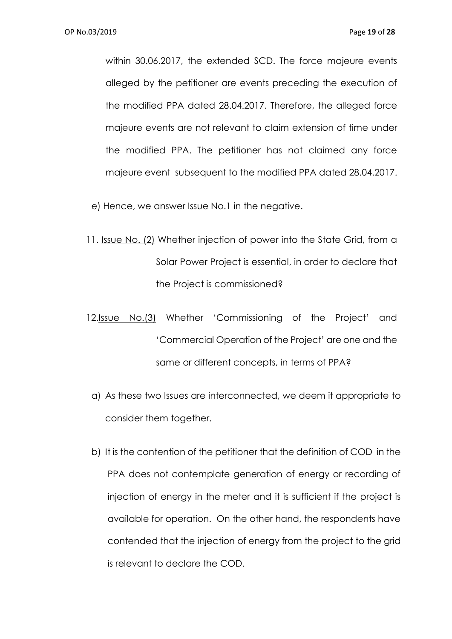within 30.06.2017, the extended SCD. The force majeure events alleged by the petitioner are events preceding the execution of the modified PPA dated 28.04.2017. Therefore, the alleged force majeure events are not relevant to claim extension of time under the modified PPA. The petitioner has not claimed any force majeure event subsequent to the modified PPA dated 28.04.2017.

e) Hence, we answer Issue No.1 in the negative.

- 11. Issue No. (2) Whether injection of power into the State Grid, from a Solar Power Project is essential, in order to declare that the Project is commissioned?
- 12.Issue No.(3) Whether 'Commissioning of the Project' and 'Commercial Operation of the Project' are one and the same or different concepts, in terms of PPA?
	- a) As these two Issues are interconnected, we deem it appropriate to consider them together.
	- b) It is the contention of the petitioner that the definition of COD in the PPA does not contemplate generation of energy or recording of injection of energy in the meter and it is sufficient if the project is available for operation. On the other hand, the respondents have contended that the injection of energy from the project to the grid is relevant to declare the COD.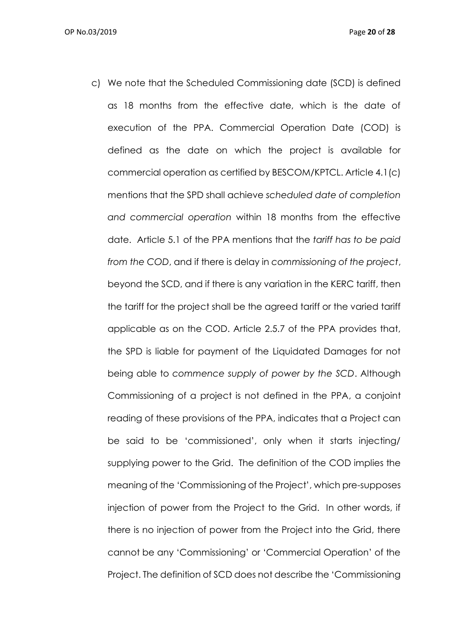c) We note that the Scheduled Commissioning date (SCD) is defined as 18 months from the effective date, which is the date of execution of the PPA. Commercial Operation Date (COD) is defined as the date on which the project is available for commercial operation as certified by BESCOM/KPTCL. Article 4.1(c) mentions that the SPD shall achieve *scheduled date of completion and commercial operation* within 18 months from the effective date. Article 5.1 of the PPA mentions that the *tariff has to be paid from the COD*, and if there is delay in *commissioning of the project*, beyond the SCD, and if there is any variation in the KERC tariff, then the tariff for the project shall be the agreed tariff or the varied tariff applicable as on the COD. Article 2.5.7 of the PPA provides that, the SPD is liable for payment of the Liquidated Damages for not being able to *commence supply of power by the SCD*. Although Commissioning of a project is not defined in the PPA, a conjoint reading of these provisions of the PPA, indicates that a Project can be said to be 'commissioned', only when it starts injecting/ supplying power to the Grid. The definition of the COD implies the meaning of the 'Commissioning of the Project', which pre-supposes injection of power from the Project to the Grid. In other words, if there is no injection of power from the Project into the Grid, there cannot be any 'Commissioning' or 'Commercial Operation' of the Project. The definition of SCD does not describe the 'Commissioning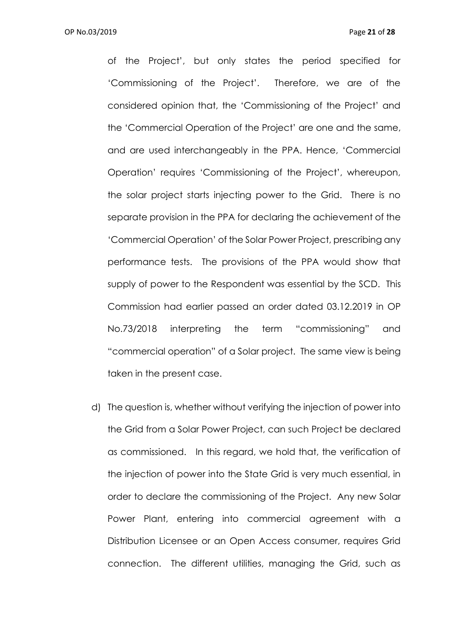of the Project', but only states the period specified for 'Commissioning of the Project'. Therefore, we are of the considered opinion that, the 'Commissioning of the Project' and the 'Commercial Operation of the Project' are one and the same, and are used interchangeably in the PPA. Hence, 'Commercial Operation' requires 'Commissioning of the Project', whereupon, the solar project starts injecting power to the Grid. There is no separate provision in the PPA for declaring the achievement of the 'Commercial Operation' of the Solar Power Project, prescribing any performance tests. The provisions of the PPA would show that supply of power to the Respondent was essential by the SCD. This Commission had earlier passed an order dated 03.12.2019 in OP No.73/2018 interpreting the term "commissioning" and "commercial operation" of a Solar project. The same view is being taken in the present case.

d) The question is, whether without verifying the injection of power into the Grid from a Solar Power Project, can such Project be declared as commissioned. In this regard, we hold that, the verification of the injection of power into the State Grid is very much essential, in order to declare the commissioning of the Project. Any new Solar Power Plant, entering into commercial agreement with a Distribution Licensee or an Open Access consumer, requires Grid connection. The different utilities, managing the Grid, such as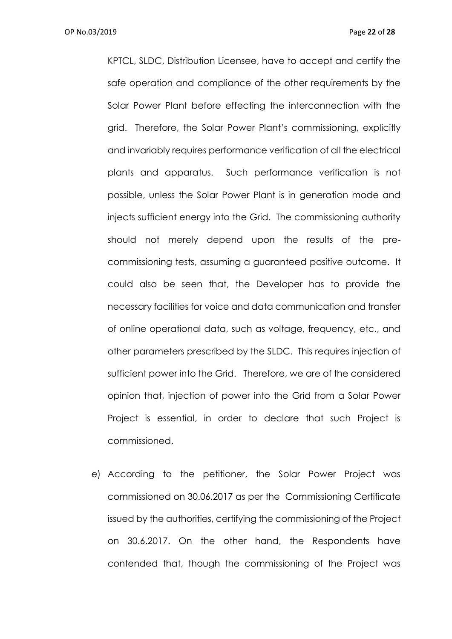KPTCL, SLDC, Distribution Licensee, have to accept and certify the safe operation and compliance of the other requirements by the Solar Power Plant before effecting the interconnection with the grid. Therefore, the Solar Power Plant's commissioning, explicitly and invariably requires performance verification of all the electrical plants and apparatus. Such performance verification is not possible, unless the Solar Power Plant is in generation mode and injects sufficient energy into the Grid. The commissioning authority should not merely depend upon the results of the precommissioning tests, assuming a guaranteed positive outcome. It could also be seen that, the Developer has to provide the necessary facilities for voice and data communication and transfer of online operational data, such as voltage, frequency, etc., and other parameters prescribed by the SLDC. This requires injection of sufficient power into the Grid. Therefore, we are of the considered opinion that, injection of power into the Grid from a Solar Power Project is essential, in order to declare that such Project is commissioned.

e) According to the petitioner, the Solar Power Project was commissioned on 30.06.2017 as per the Commissioning Certificate issued by the authorities, certifying the commissioning of the Project on 30.6.2017. On the other hand, the Respondents have contended that, though the commissioning of the Project was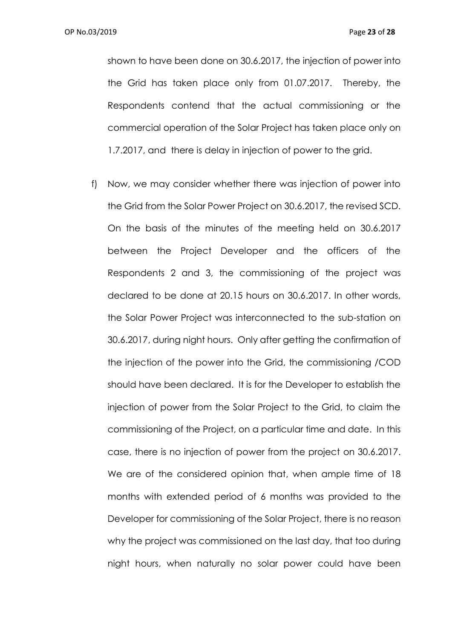shown to have been done on 30.6.2017, the injection of power into the Grid has taken place only from 01.07.2017. Thereby, the Respondents contend that the actual commissioning or the commercial operation of the Solar Project has taken place only on 1.7.2017, and there is delay in injection of power to the grid.

f) Now, we may consider whether there was injection of power into the Grid from the Solar Power Project on 30.6.2017, the revised SCD. On the basis of the minutes of the meeting held on 30.6.2017 between the Project Developer and the officers of the Respondents 2 and 3, the commissioning of the project was declared to be done at 20.15 hours on 30.6.2017. In other words, the Solar Power Project was interconnected to the sub-station on 30.6.2017, during night hours. Only after getting the confirmation of the injection of the power into the Grid, the commissioning /COD should have been declared. It is for the Developer to establish the injection of power from the Solar Project to the Grid, to claim the commissioning of the Project, on a particular time and date. In this case, there is no injection of power from the project on 30.6.2017. We are of the considered opinion that, when ample time of 18 months with extended period of 6 months was provided to the Developer for commissioning of the Solar Project, there is no reason why the project was commissioned on the last day, that too during night hours, when naturally no solar power could have been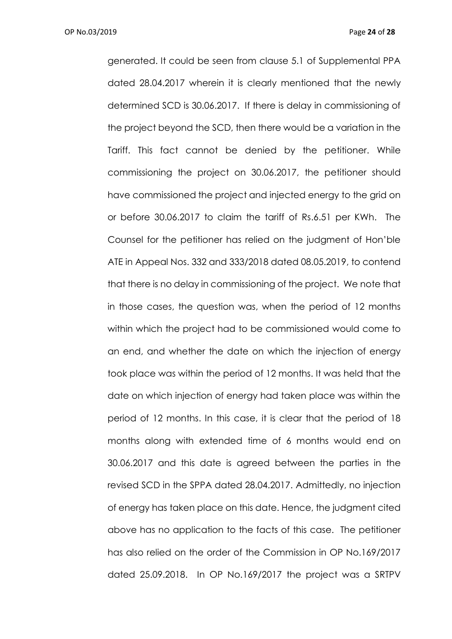generated. It could be seen from clause 5.1 of Supplemental PPA dated 28.04.2017 wherein it is clearly mentioned that the newly determined SCD is 30.06.2017. If there is delay in commissioning of the project beyond the SCD, then there would be a variation in the Tariff. This fact cannot be denied by the petitioner. While commissioning the project on 30.06.2017, the petitioner should have commissioned the project and injected energy to the grid on or before 30.06.2017 to claim the tariff of Rs.6.51 per KWh. The Counsel for the petitioner has relied on the judgment of Hon'ble ATE in Appeal Nos. 332 and 333/2018 dated 08.05.2019, to contend that there is no delay in commissioning of the project. We note that in those cases, the question was, when the period of 12 months within which the project had to be commissioned would come to an end, and whether the date on which the injection of energy took place was within the period of 12 months. It was held that the date on which injection of energy had taken place was within the period of 12 months. In this case, it is clear that the period of 18 months along with extended time of 6 months would end on 30.06.2017 and this date is agreed between the parties in the revised SCD in the SPPA dated 28.04.2017. Admittedly, no injection of energy has taken place on this date. Hence, the judgment cited above has no application to the facts of this case. The petitioner has also relied on the order of the Commission in OP No.169/2017 dated 25.09.2018. In OP No.169/2017 the project was a SRTPV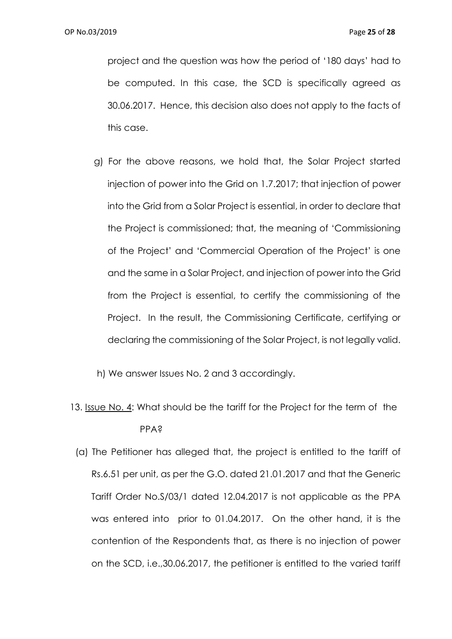project and the question was how the period of '180 days' had to be computed. In this case, the SCD is specifically agreed as 30.06.2017. Hence, this decision also does not apply to the facts of this case.

g) For the above reasons, we hold that, the Solar Project started injection of power into the Grid on 1.7.2017; that injection of power into the Grid from a Solar Project is essential, in order to declare that the Project is commissioned; that, the meaning of 'Commissioning of the Project' and 'Commercial Operation of the Project' is one and the same in a Solar Project, and injection of power into the Grid from the Project is essential, to certify the commissioning of the Project. In the result, the Commissioning Certificate, certifying or declaring the commissioning of the Solar Project, is not legally valid.

h) We answer Issues No. 2 and 3 accordingly.

- 13. Issue No. 4: What should be the tariff for the Project for the term of the PPA?
- (a) The Petitioner has alleged that, the project is entitled to the tariff of Rs.6.51 per unit, as per the G.O. dated 21.01.2017 and that the Generic Tariff Order No.S/03/1 dated 12.04.2017 is not applicable as the PPA was entered into prior to 01.04.2017. On the other hand, it is the contention of the Respondents that, as there is no injection of power on the SCD, i.e.,30.06.2017, the petitioner is entitled to the varied tariff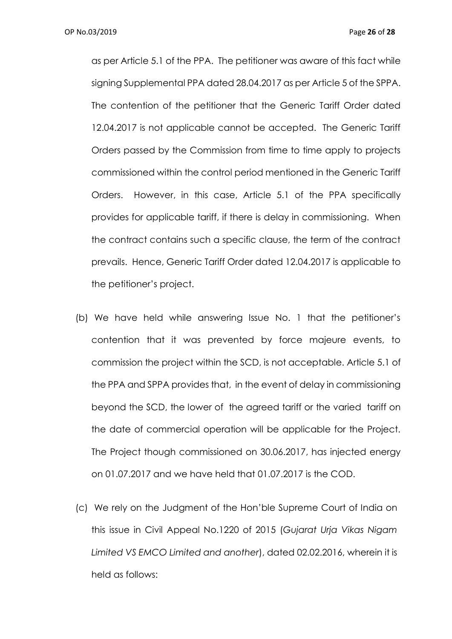as per Article 5.1 of the PPA. The petitioner was aware of this fact while signing Supplemental PPA dated 28.04.2017 as per Article 5 of the SPPA. The contention of the petitioner that the Generic Tariff Order dated 12.04.2017 is not applicable cannot be accepted. The Generic Tariff Orders passed by the Commission from time to time apply to projects commissioned within the control period mentioned in the Generic Tariff Orders. However, in this case, Article 5.1 of the PPA specifically provides for applicable tariff, if there is delay in commissioning. When the contract contains such a specific clause, the term of the contract prevails. Hence, Generic Tariff Order dated 12.04.2017 is applicable to the petitioner's project.

- (b) We have held while answering Issue No. 1 that the petitioner's contention that it was prevented by force majeure events, to commission the project within the SCD, is not acceptable. Article 5.1 of the PPA and SPPA provides that, in the event of delay in commissioning beyond the SCD, the lower of the agreed tariff or the varied tariff on the date of commercial operation will be applicable for the Project. The Project though commissioned on 30.06.2017, has injected energy on 01.07.2017 and we have held that 01.07.2017 is the COD.
- (c) We rely on the Judgment of the Hon'ble Supreme Court of India on this issue in Civil Appeal No.1220 of 2015 (*Gujarat Urja Vikas Nigam Limited VS EMCO Limited and another*), dated 02.02.2016, wherein it is held as follows: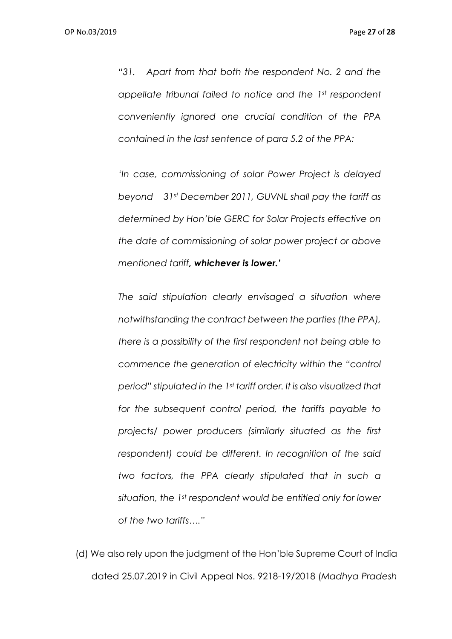*"31. Apart from that both the respondent No. 2 and the appellate tribunal failed to notice and the 1st respondent conveniently ignored one crucial condition of the PPA contained in the last sentence of para 5.2 of the PPA:* 

*'In case, commissioning of solar Power Project is delayed beyond 31st December 2011, GUVNL shall pay the tariff as determined by Hon'ble GERC for Solar Projects effective on the date of commissioning of solar power project or above mentioned tariff, whichever is lower.'*

*The said stipulation clearly envisaged a situation where notwithstanding the contract between the parties (the PPA), there is a possibility of the first respondent not being able to commence the generation of electricity within the "control period" stipulated in the 1st tariff order. It is also visualized that for the subsequent control period, the tariffs payable to projects/ power producers (similarly situated as the first respondent) could be different. In recognition of the said two factors, the PPA clearly stipulated that in such a situation, the 1st respondent would be entitled only for lower of the two tariffs…."*

(d) We also rely upon the judgment of the Hon'ble Supreme Court of India dated 25.07.2019 in Civil Appeal Nos. 9218-19/2018 (*Madhya Pradesh*